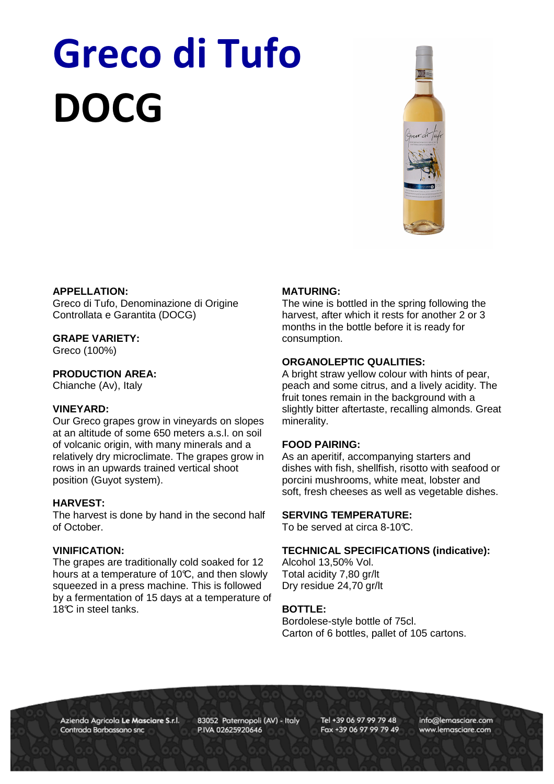# Greco di Tufo DOCG



# **APPELLATION:**

Greco di Tufo, Denominazione di Origine Controllata e Garantita (DOCG)

## **GRAPE VARIETY:**

Greco (100%)

## **PRODUCTION AREA:**

Chianche (Av), Italy

#### **VINEYARD:**

Our Greco grapes grow in vineyards on slopes at an altitude of some 650 meters a.s.l. on soil of volcanic origin, with many minerals and a relatively dry microclimate. The grapes grow in rows in an upwards trained vertical shoot position (Guyot system).

#### **HARVEST:**

The harvest is done by hand in the second half of October.

### **VINIFICATION:**

The grapes are traditionally cold soaked for 12 hours at a temperature of 10 $\mathbb{C}$ , and then slowly squeezed in a press machine. This is followed by a fermentation of 15 days at a temperature of 18<sup>°</sup>C in steel tanks.

## **MATURING:**

The wine is bottled in the spring following the harvest, after which it rests for another 2 or 3 months in the bottle before it is ready for consumption.

# **ORGANOLEPTIC QUALITIES:**

A bright straw yellow colour with hints of pear, peach and some citrus, and a lively acidity. The fruit tones remain in the background with a slightly bitter aftertaste, recalling almonds. Great minerality.

#### **FOOD PAIRING:**

As an aperitif, accompanying starters and dishes with fish, shellfish, risotto with seafood or porcini mushrooms, white meat, lobster and soft, fresh cheeses as well as vegetable dishes.

### **SERVING TEMPERATURE:**

To be served at circa 8-10°C.

#### **TECHNICAL SPECIFICATIONS (indicative):**

Alcohol 13,50% Vol. Total acidity 7,80 gr/lt Dry residue 24,70 gr/lt

# **BOTTLE:**

Bordolese-style bottle of 75cl. Carton of 6 bottles, pallet of 105 cartons.

Azienda Agricola Le Masciare S.r.l. Contrada Barbassano snc

83052 Paternopoli (AV) - Italy P.IVA 02625920646

Tel +39 06 97 99 79 48 Fax +39 06 97 99 79 49 info@lemasciare.com www.lemasciare.com